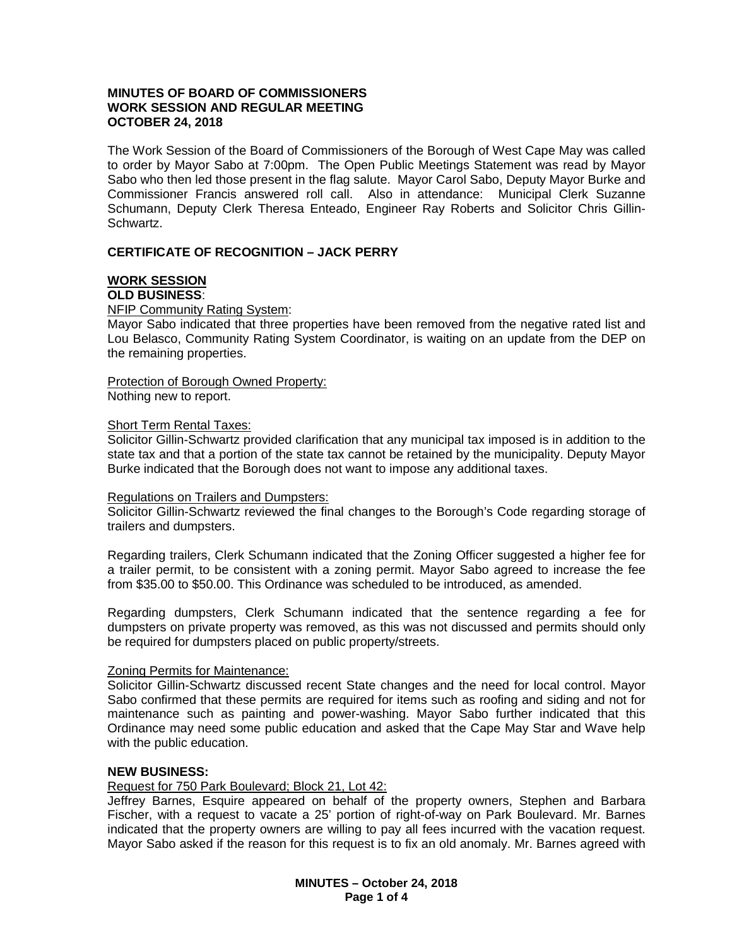# **MINUTES OF BOARD OF COMMISSIONERS WORK SESSION AND REGULAR MEETING OCTOBER 24, 2018**

The Work Session of the Board of Commissioners of the Borough of West Cape May was called to order by Mayor Sabo at 7:00pm. The Open Public Meetings Statement was read by Mayor Sabo who then led those present in the flag salute. Mayor Carol Sabo, Deputy Mayor Burke and Commissioner Francis answered roll call. Also in attendance: Municipal Clerk Suzanne Schumann, Deputy Clerk Theresa Enteado, Engineer Ray Roberts and Solicitor Chris Gillin-Schwartz.

# **CERTIFICATE OF RECOGNITION – JACK PERRY**

#### **WORK SESSION OLD BUSINESS**:

NFIP Community Rating System:

Mayor Sabo indicated that three properties have been removed from the negative rated list and Lou Belasco, Community Rating System Coordinator, is waiting on an update from the DEP on the remaining properties.

Protection of Borough Owned Property: Nothing new to report.

## Short Term Rental Taxes:

Solicitor Gillin-Schwartz provided clarification that any municipal tax imposed is in addition to the state tax and that a portion of the state tax cannot be retained by the municipality. Deputy Mayor Burke indicated that the Borough does not want to impose any additional taxes.

### Regulations on Trailers and Dumpsters:

Solicitor Gillin-Schwartz reviewed the final changes to the Borough's Code regarding storage of trailers and dumpsters.

Regarding trailers, Clerk Schumann indicated that the Zoning Officer suggested a higher fee for a trailer permit, to be consistent with a zoning permit. Mayor Sabo agreed to increase the fee from \$35.00 to \$50.00. This Ordinance was scheduled to be introduced, as amended.

Regarding dumpsters, Clerk Schumann indicated that the sentence regarding a fee for dumpsters on private property was removed, as this was not discussed and permits should only be required for dumpsters placed on public property/streets.

# Zoning Permits for Maintenance:

Solicitor Gillin-Schwartz discussed recent State changes and the need for local control. Mayor Sabo confirmed that these permits are required for items such as roofing and siding and not for maintenance such as painting and power-washing. Mayor Sabo further indicated that this Ordinance may need some public education and asked that the Cape May Star and Wave help with the public education.

# **NEW BUSINESS:**

Request for 750 Park Boulevard; Block 21, Lot 42:

Jeffrey Barnes, Esquire appeared on behalf of the property owners, Stephen and Barbara Fischer, with a request to vacate a 25' portion of right-of-way on Park Boulevard. Mr. Barnes indicated that the property owners are willing to pay all fees incurred with the vacation request. Mayor Sabo asked if the reason for this request is to fix an old anomaly. Mr. Barnes agreed with

> **MINUTES – October 24, 2018 Page 1 of 4**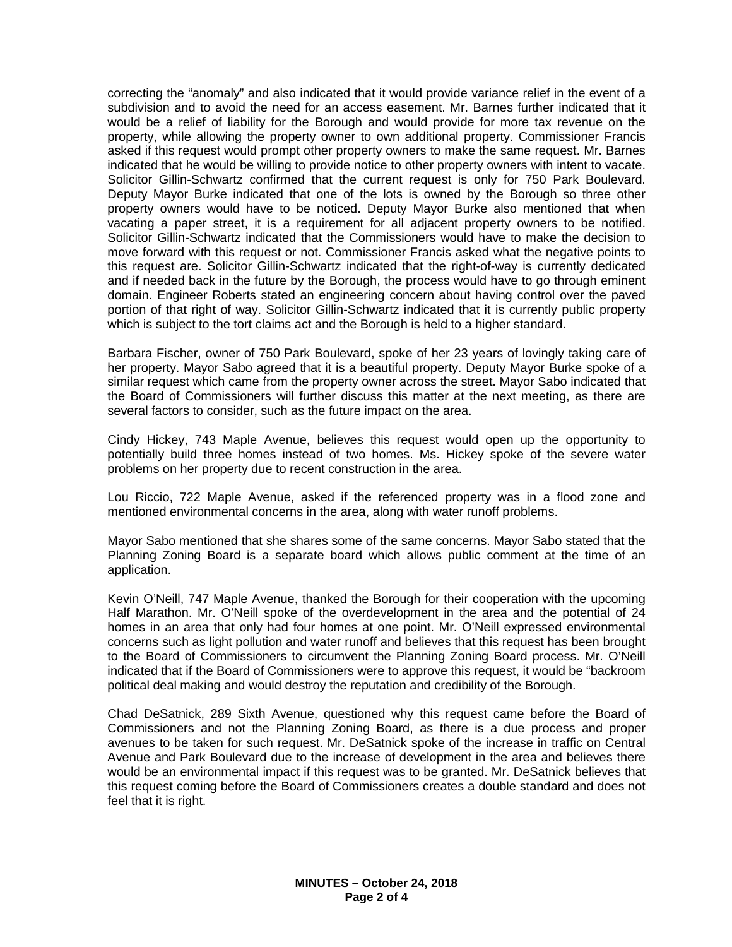correcting the "anomaly" and also indicated that it would provide variance relief in the event of a subdivision and to avoid the need for an access easement. Mr. Barnes further indicated that it would be a relief of liability for the Borough and would provide for more tax revenue on the property, while allowing the property owner to own additional property. Commissioner Francis asked if this request would prompt other property owners to make the same request. Mr. Barnes indicated that he would be willing to provide notice to other property owners with intent to vacate. Solicitor Gillin-Schwartz confirmed that the current request is only for 750 Park Boulevard. Deputy Mayor Burke indicated that one of the lots is owned by the Borough so three other property owners would have to be noticed. Deputy Mayor Burke also mentioned that when vacating a paper street, it is a requirement for all adjacent property owners to be notified. Solicitor Gillin-Schwartz indicated that the Commissioners would have to make the decision to move forward with this request or not. Commissioner Francis asked what the negative points to this request are. Solicitor Gillin-Schwartz indicated that the right-of-way is currently dedicated and if needed back in the future by the Borough, the process would have to go through eminent domain. Engineer Roberts stated an engineering concern about having control over the paved portion of that right of way. Solicitor Gillin-Schwartz indicated that it is currently public property which is subject to the tort claims act and the Borough is held to a higher standard.

Barbara Fischer, owner of 750 Park Boulevard, spoke of her 23 years of lovingly taking care of her property. Mayor Sabo agreed that it is a beautiful property. Deputy Mayor Burke spoke of a similar request which came from the property owner across the street. Mayor Sabo indicated that the Board of Commissioners will further discuss this matter at the next meeting, as there are several factors to consider, such as the future impact on the area.

Cindy Hickey, 743 Maple Avenue, believes this request would open up the opportunity to potentially build three homes instead of two homes. Ms. Hickey spoke of the severe water problems on her property due to recent construction in the area.

Lou Riccio, 722 Maple Avenue, asked if the referenced property was in a flood zone and mentioned environmental concerns in the area, along with water runoff problems.

Mayor Sabo mentioned that she shares some of the same concerns. Mayor Sabo stated that the Planning Zoning Board is a separate board which allows public comment at the time of an application.

Kevin O'Neill, 747 Maple Avenue, thanked the Borough for their cooperation with the upcoming Half Marathon. Mr. O'Neill spoke of the overdevelopment in the area and the potential of 24 homes in an area that only had four homes at one point. Mr. O'Neill expressed environmental concerns such as light pollution and water runoff and believes that this request has been brought to the Board of Commissioners to circumvent the Planning Zoning Board process. Mr. O'Neill indicated that if the Board of Commissioners were to approve this request, it would be "backroom political deal making and would destroy the reputation and credibility of the Borough.

Chad DeSatnick, 289 Sixth Avenue, questioned why this request came before the Board of Commissioners and not the Planning Zoning Board, as there is a due process and proper avenues to be taken for such request. Mr. DeSatnick spoke of the increase in traffic on Central Avenue and Park Boulevard due to the increase of development in the area and believes there would be an environmental impact if this request was to be granted. Mr. DeSatnick believes that this request coming before the Board of Commissioners creates a double standard and does not feel that it is right.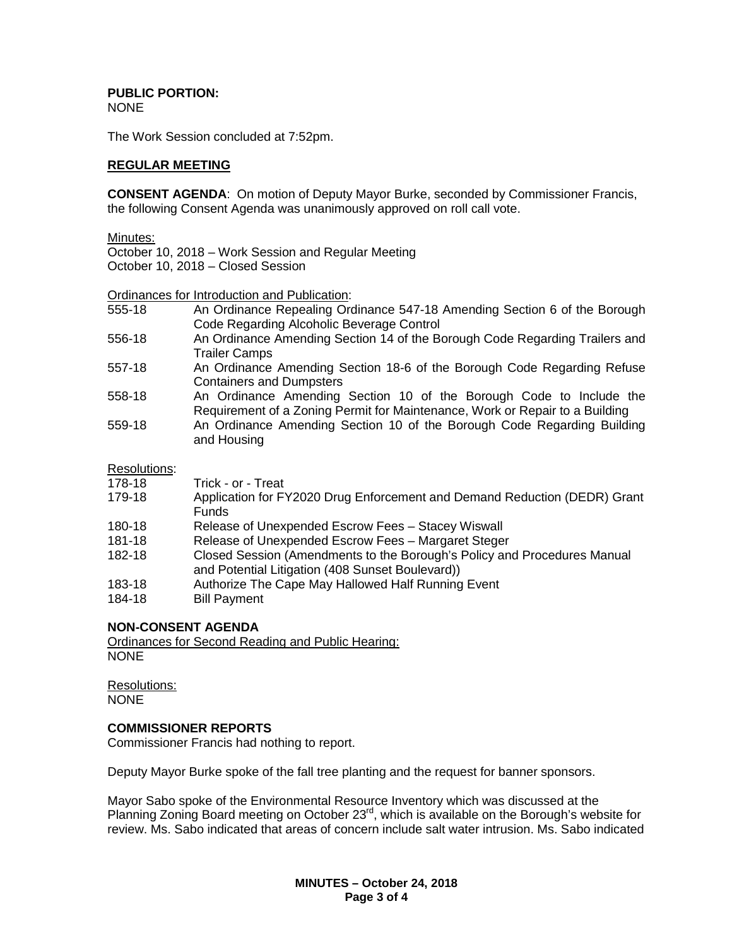#### **PUBLIC PORTION:** NONE

The Work Session concluded at 7:52pm.

## **REGULAR MEETING**

**CONSENT AGENDA**: On motion of Deputy Mayor Burke, seconded by Commissioner Francis, the following Consent Agenda was unanimously approved on roll call vote.

Minutes:

October 10, 2018 – Work Session and Regular Meeting

October 10, 2018 – Closed Session

Ordinances for Introduction and Publication:

- 555-18 An Ordinance Repealing Ordinance 547-18 Amending Section 6 of the Borough Code Regarding Alcoholic Beverage Control
- 556-18 An Ordinance Amending Section 14 of the Borough Code Regarding Trailers and Trailer Camps
- 557-18 An Ordinance Amending Section 18-6 of the Borough Code Regarding Refuse Containers and Dumpsters
- 558-18 An Ordinance Amending Section 10 of the Borough Code to Include the Requirement of a Zoning Permit for Maintenance, Work or Repair to a Building
- 559-18 An Ordinance Amending Section 10 of the Borough Code Regarding Building and Housing

Resolutions:

| 178-18 | Trick - or - Treat                                                                                                           |
|--------|------------------------------------------------------------------------------------------------------------------------------|
| 179-18 | Application for FY2020 Drug Enforcement and Demand Reduction (DEDR) Grant<br><b>Funds</b>                                    |
| 180-18 | Release of Unexpended Escrow Fees - Stacey Wiswall                                                                           |
| 181-18 | Release of Unexpended Escrow Fees - Margaret Steger                                                                          |
| 182-18 | Closed Session (Amendments to the Borough's Policy and Procedures Manual<br>and Potential Litigation (408 Sunset Boulevard)) |
| 183-18 | Authorize The Cape May Hallowed Half Running Event                                                                           |
| 184-18 | <b>Bill Payment</b>                                                                                                          |

# **NON-CONSENT AGENDA**

Ordinances for Second Reading and Public Hearing: NONE

Resolutions: NONE

# **COMMISSIONER REPORTS**

Commissioner Francis had nothing to report.

Deputy Mayor Burke spoke of the fall tree planting and the request for banner sponsors.

Mayor Sabo spoke of the Environmental Resource Inventory which was discussed at the Planning Zoning Board meeting on October 23rd, which is available on the Borough's website for review. Ms. Sabo indicated that areas of concern include salt water intrusion. Ms. Sabo indicated

> **MINUTES – October 24, 2018 Page 3 of 4**